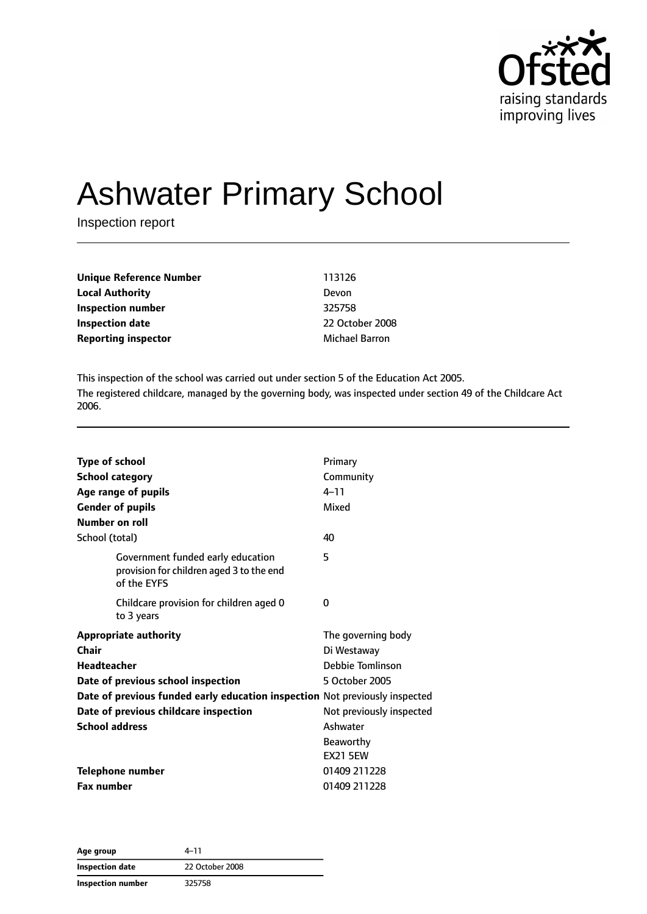

# Ashwater Primary School

Inspection report

| Unique Reference Number    | 113126                |
|----------------------------|-----------------------|
| <b>Local Authority</b>     | Devon                 |
| Inspection number          | 325758                |
| <b>Inspection date</b>     | 22 October 2008       |
| <b>Reporting inspector</b> | <b>Michael Barron</b> |

This inspection of the school was carried out under section 5 of the Education Act 2005. The registered childcare, managed by the governing body, was inspected under section 49 of the Childcare Act 2006.

| <b>Type of school</b><br><b>School category</b>                                              | Primary<br>Community     |
|----------------------------------------------------------------------------------------------|--------------------------|
| Age range of pupils                                                                          | $4 - 11$                 |
| <b>Gender of pupils</b>                                                                      | Mixed                    |
| Number on roll                                                                               |                          |
| School (total)                                                                               | 40                       |
| Government funded early education<br>provision for children aged 3 to the end<br>of the EYFS | 5                        |
| Childcare provision for children aged 0<br>to 3 years                                        | 0                        |
| <b>Appropriate authority</b>                                                                 | The governing body       |
| Chair                                                                                        | Di Westaway              |
| <b>Headteacher</b>                                                                           | Debbie Tomlinson         |
| Date of previous school inspection                                                           | 5 October 2005           |
| Date of previous funded early education inspection Not previously inspected                  |                          |
| Date of previous childcare inspection                                                        | Not previously inspected |
| <b>School address</b>                                                                        | Ashwater                 |
|                                                                                              | <b>Beaworthy</b>         |
|                                                                                              | <b>EX21 5EW</b>          |
| <b>Telephone number</b>                                                                      | 01409 211228             |
| <b>Fax number</b>                                                                            | 01409 211228             |

**Age group** 4–11 **Inspection date** 22 October 2008 **Inspection number** 325758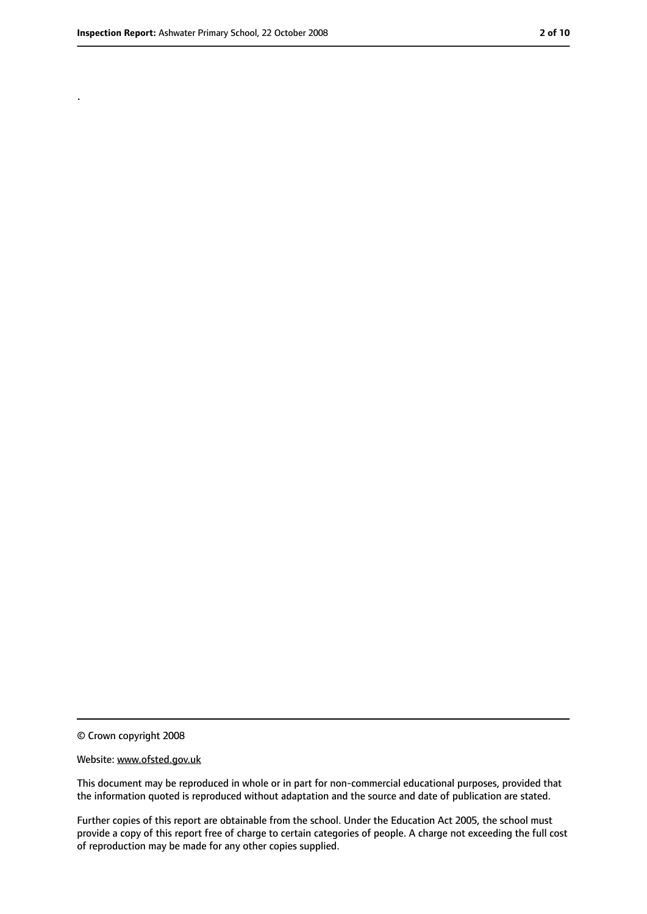.

<sup>©</sup> Crown copyright 2008

Website: www.ofsted.gov.uk

This document may be reproduced in whole or in part for non-commercial educational purposes, provided that the information quoted is reproduced without adaptation and the source and date of publication are stated.

Further copies of this report are obtainable from the school. Under the Education Act 2005, the school must provide a copy of this report free of charge to certain categories of people. A charge not exceeding the full cost of reproduction may be made for any other copies supplied.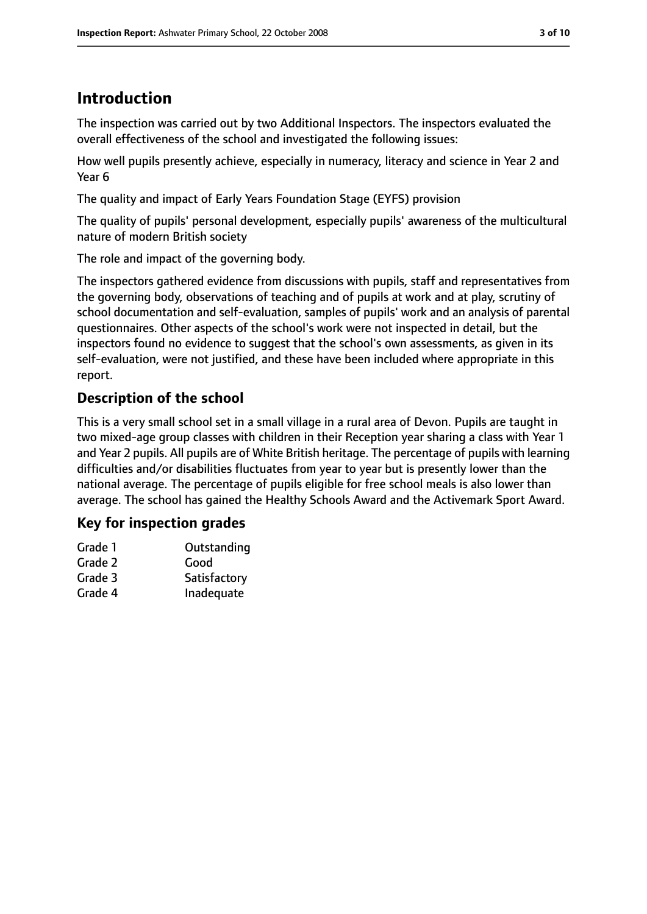# **Introduction**

The inspection was carried out by two Additional Inspectors. The inspectors evaluated the overall effectiveness of the school and investigated the following issues:

How well pupils presently achieve, especially in numeracy, literacy and science in Year 2 and Year 6

The quality and impact of Early Years Foundation Stage (EYFS) provision

The quality of pupils' personal development, especially pupils' awareness of the multicultural nature of modern British society

The role and impact of the governing body.

The inspectors gathered evidence from discussions with pupils, staff and representatives from the governing body, observations of teaching and of pupils at work and at play, scrutiny of school documentation and self-evaluation, samples of pupils' work and an analysis of parental questionnaires. Other aspects of the school's work were not inspected in detail, but the inspectors found no evidence to suggest that the school's own assessments, as given in its self-evaluation, were not justified, and these have been included where appropriate in this report.

## **Description of the school**

This is a very small school set in a small village in a rural area of Devon. Pupils are taught in two mixed-age group classes with children in their Reception year sharing a class with Year 1 and Year 2 pupils. All pupils are of White British heritage. The percentage of pupils with learning difficulties and/or disabilities fluctuates from year to year but is presently lower than the national average. The percentage of pupils eligible for free school meals is also lower than average. The school has gained the Healthy Schools Award and the Activemark Sport Award.

## **Key for inspection grades**

| Grade 1 | Outstanding  |
|---------|--------------|
| Grade 2 | Good         |
| Grade 3 | Satisfactory |
| Grade 4 | Inadequate   |
|         |              |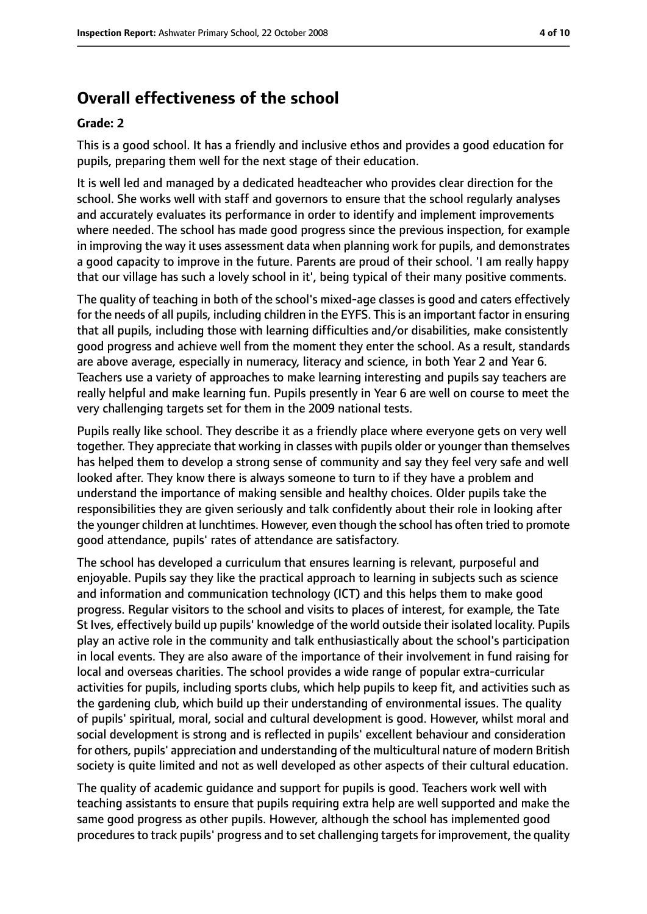# **Overall effectiveness of the school**

#### **Grade: 2**

This is a good school. It has a friendly and inclusive ethos and provides a good education for pupils, preparing them well for the next stage of their education.

It is well led and managed by a dedicated headteacher who provides clear direction for the school. She works well with staff and governors to ensure that the school regularly analyses and accurately evaluates its performance in order to identify and implement improvements where needed. The school has made good progress since the previous inspection, for example in improving the way it uses assessment data when planning work for pupils, and demonstrates a good capacity to improve in the future. Parents are proud of their school. 'I am really happy that our village has such a lovely school in it', being typical of their many positive comments.

The quality of teaching in both of the school's mixed-age classes is good and caters effectively for the needs of all pupils, including children in the EYFS. This is an important factor in ensuring that all pupils, including those with learning difficulties and/or disabilities, make consistently good progress and achieve well from the moment they enter the school. As a result, standards are above average, especially in numeracy, literacy and science, in both Year 2 and Year 6. Teachers use a variety of approaches to make learning interesting and pupils say teachers are really helpful and make learning fun. Pupils presently in Year 6 are well on course to meet the very challenging targets set for them in the 2009 national tests.

Pupils really like school. They describe it as a friendly place where everyone gets on very well together. They appreciate that working in classes with pupils older or younger than themselves has helped them to develop a strong sense of community and say they feel very safe and well looked after. They know there is always someone to turn to if they have a problem and understand the importance of making sensible and healthy choices. Older pupils take the responsibilities they are given seriously and talk confidently about their role in looking after the younger children at lunchtimes. However, even though the school has often tried to promote good attendance, pupils' rates of attendance are satisfactory.

The school has developed a curriculum that ensures learning is relevant, purposeful and enjoyable. Pupils say they like the practical approach to learning in subjects such as science and information and communication technology (ICT) and this helps them to make good progress. Regular visitors to the school and visits to places of interest, for example, the Tate St Ives, effectively build up pupils' knowledge of the world outside their isolated locality. Pupils play an active role in the community and talk enthusiastically about the school's participation in local events. They are also aware of the importance of their involvement in fund raising for local and overseas charities. The school provides a wide range of popular extra-curricular activities for pupils, including sports clubs, which help pupils to keep fit, and activities such as the gardening club, which build up their understanding of environmental issues. The quality of pupils' spiritual, moral, social and cultural development is good. However, whilst moral and social development is strong and is reflected in pupils' excellent behaviour and consideration for others, pupils' appreciation and understanding of the multicultural nature of modern British society is quite limited and not as well developed as other aspects of their cultural education.

The quality of academic guidance and support for pupils is good. Teachers work well with teaching assistants to ensure that pupils requiring extra help are well supported and make the same good progress as other pupils. However, although the school has implemented good proceduresto track pupils' progress and to set challenging targetsfor improvement, the quality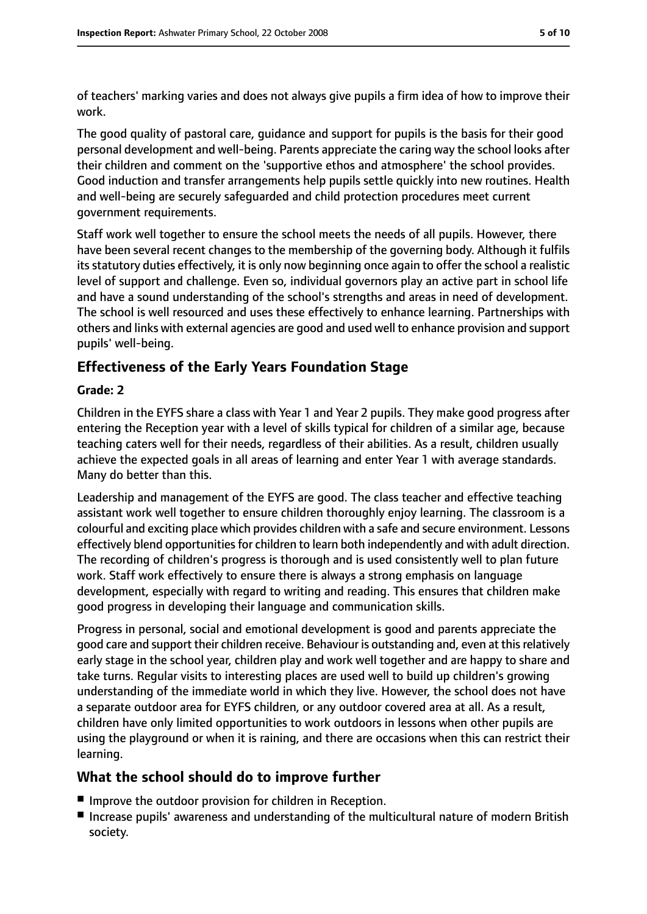of teachers' marking varies and does not always give pupils a firm idea of how to improve their work.

The good quality of pastoral care, guidance and support for pupils is the basis for their good personal development and well-being. Parents appreciate the caring way the school looks after their children and comment on the 'supportive ethos and atmosphere' the school provides. Good induction and transfer arrangements help pupils settle quickly into new routines. Health and well-being are securely safeguarded and child protection procedures meet current government requirements.

Staff work well together to ensure the school meets the needs of all pupils. However, there have been several recent changes to the membership of the governing body. Although it fulfils its statutory duties effectively, it is only now beginning once again to offer the school a realistic level of support and challenge. Even so, individual governors play an active part in school life and have a sound understanding of the school's strengths and areas in need of development. The school is well resourced and uses these effectively to enhance learning. Partnerships with others and links with external agencies are good and used well to enhance provision and support pupils' well-being.

## **Effectiveness of the Early Years Foundation Stage**

#### **Grade: 2**

Children in the EYFS share a class with Year 1 and Year 2 pupils. They make good progress after entering the Reception year with a level of skills typical for children of a similar age, because teaching caters well for their needs, regardless of their abilities. As a result, children usually achieve the expected goals in all areas of learning and enter Year 1 with average standards. Many do better than this.

Leadership and management of the EYFS are good. The class teacher and effective teaching assistant work well together to ensure children thoroughly enjoy learning. The classroom is a colourful and exciting place which provides children with a safe and secure environment. Lessons effectively blend opportunities for children to learn both independently and with adult direction. The recording of children's progress is thorough and is used consistently well to plan future work. Staff work effectively to ensure there is always a strong emphasis on language development, especially with regard to writing and reading. This ensures that children make good progress in developing their language and communication skills.

Progress in personal, social and emotional development is good and parents appreciate the good care and support their children receive. Behaviour is outstanding and, even at thisrelatively early stage in the school year, children play and work well together and are happy to share and take turns. Regular visits to interesting places are used well to build up children's growing understanding of the immediate world in which they live. However, the school does not have a separate outdoor area for EYFS children, or any outdoor covered area at all. As a result, children have only limited opportunities to work outdoors in lessons when other pupils are using the playground or when it is raining, and there are occasions when this can restrict their learning.

#### **What the school should do to improve further**

- Improve the outdoor provision for children in Reception.
- Increase pupils' awareness and understanding of the multicultural nature of modern British society.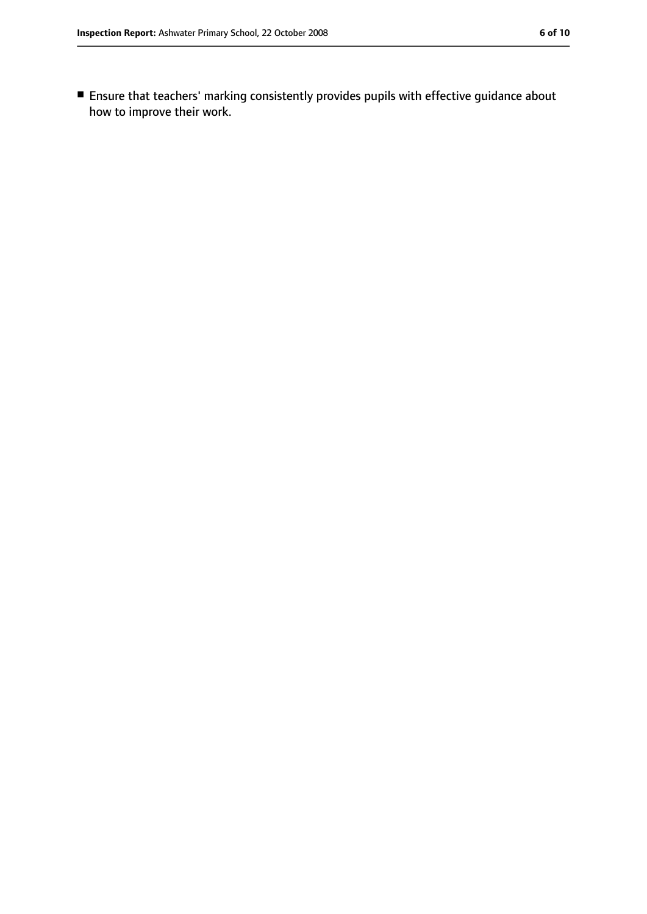■ Ensure that teachers' marking consistently provides pupils with effective guidance about how to improve their work.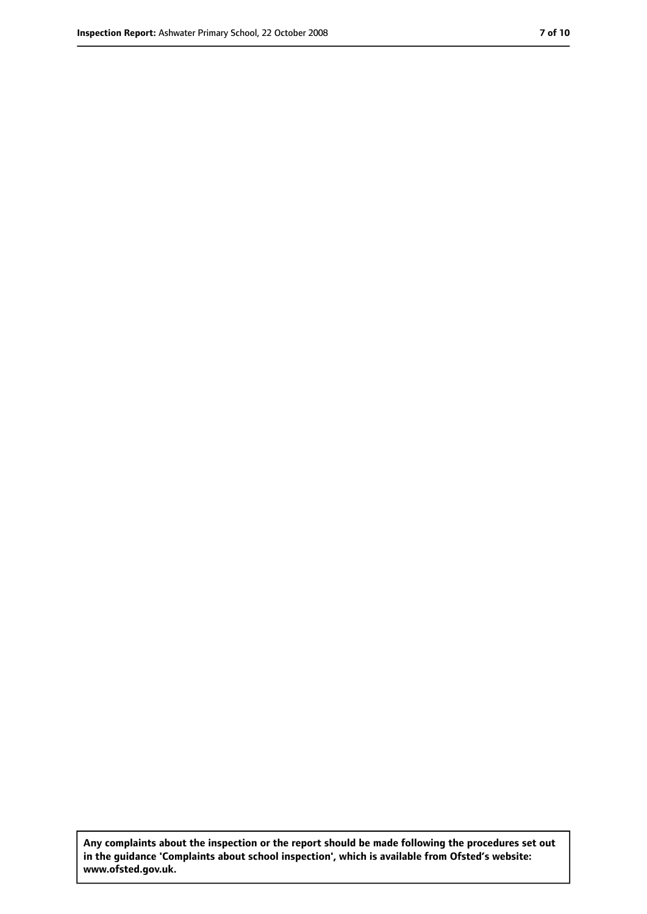**Any complaints about the inspection or the report should be made following the procedures set out in the guidance 'Complaints about school inspection', which is available from Ofsted's website: www.ofsted.gov.uk.**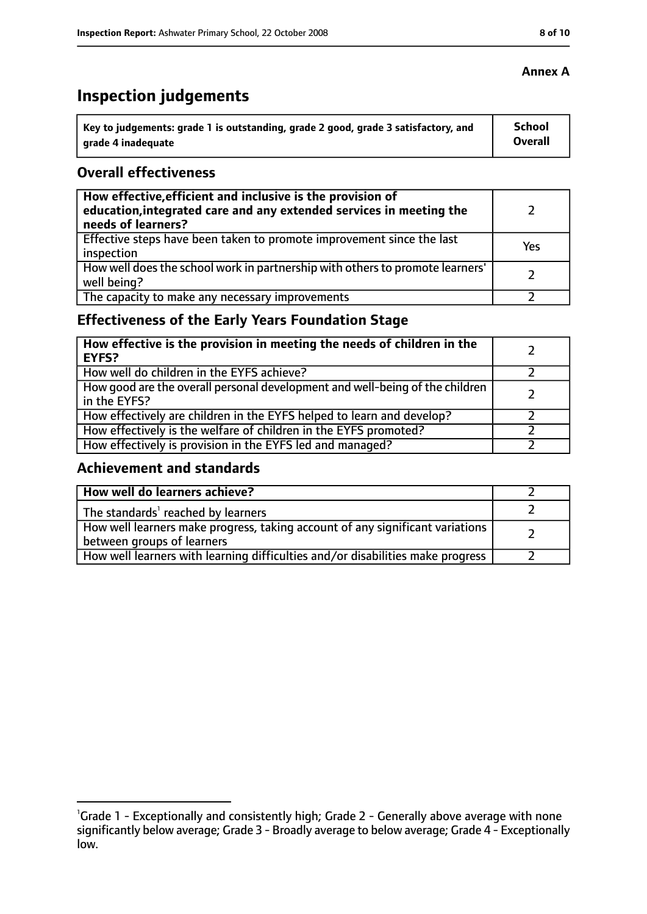# **Inspection judgements**

| key to judgements: grade 1 is outstanding, grade 2 good, grade 3 satisfactory, and ا | School         |
|--------------------------------------------------------------------------------------|----------------|
| arade 4 inadequate                                                                   | <b>Overall</b> |

#### **Overall effectiveness**

| How effective, efficient and inclusive is the provision of<br>education, integrated care and any extended services in meeting the<br>needs of learners? |     |
|---------------------------------------------------------------------------------------------------------------------------------------------------------|-----|
| Effective steps have been taken to promote improvement since the last<br>inspection                                                                     | Yes |
| How well does the school work in partnership with others to promote learners'<br>well being?                                                            |     |
| The capacity to make any necessary improvements                                                                                                         |     |

# **Effectiveness of the Early Years Foundation Stage**

| How effective is the provision in meeting the needs of children in the<br>l EYFS?            |  |
|----------------------------------------------------------------------------------------------|--|
| How well do children in the EYFS achieve?                                                    |  |
| How good are the overall personal development and well-being of the children<br>in the EYFS? |  |
| How effectively are children in the EYFS helped to learn and develop?                        |  |
| How effectively is the welfare of children in the EYFS promoted?                             |  |
| How effectively is provision in the EYFS led and managed?                                    |  |

#### **Achievement and standards**

| How well do learners achieve?                                                  |  |
|--------------------------------------------------------------------------------|--|
| $\vert$ The standards <sup>1</sup> reached by learners                         |  |
| How well learners make progress, taking account of any significant variations  |  |
| between groups of learners                                                     |  |
| How well learners with learning difficulties and/or disabilities make progress |  |

#### **Annex A**

<sup>&</sup>lt;sup>1</sup>Grade 1 - Exceptionally and consistently high; Grade 2 - Generally above average with none significantly below average; Grade 3 - Broadly average to below average; Grade 4 - Exceptionally low.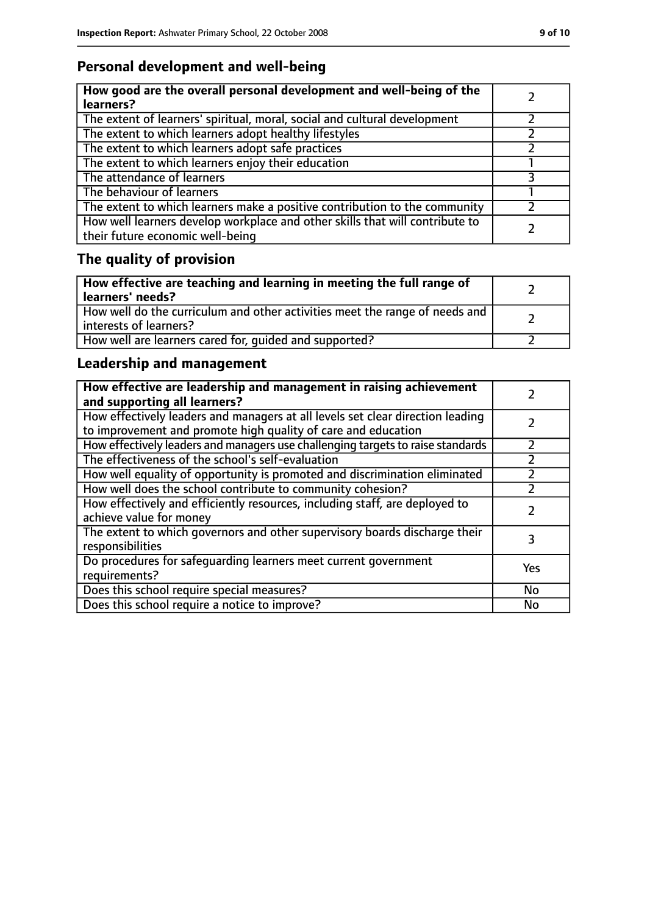# **Personal development and well-being**

| How good are the overall personal development and well-being of the<br>learners?                                 |  |
|------------------------------------------------------------------------------------------------------------------|--|
| The extent of learners' spiritual, moral, social and cultural development                                        |  |
| The extent to which learners adopt healthy lifestyles                                                            |  |
| The extent to which learners adopt safe practices                                                                |  |
| The extent to which learners enjoy their education                                                               |  |
| The attendance of learners                                                                                       |  |
| The behaviour of learners                                                                                        |  |
| The extent to which learners make a positive contribution to the community                                       |  |
| How well learners develop workplace and other skills that will contribute to<br>their future economic well-being |  |

# **The quality of provision**

| How effective are teaching and learning in meeting the full range of<br>learners' needs?              |  |
|-------------------------------------------------------------------------------------------------------|--|
| How well do the curriculum and other activities meet the range of needs and<br>interests of learners? |  |
| How well are learners cared for, quided and supported?                                                |  |

# **Leadership and management**

| How effective are leadership and management in raising achievement<br>and supporting all learners?                                              |     |
|-------------------------------------------------------------------------------------------------------------------------------------------------|-----|
| How effectively leaders and managers at all levels set clear direction leading<br>to improvement and promote high quality of care and education |     |
| How effectively leaders and managers use challenging targets to raise standards                                                                 |     |
| The effectiveness of the school's self-evaluation                                                                                               |     |
| How well equality of opportunity is promoted and discrimination eliminated                                                                      |     |
| How well does the school contribute to community cohesion?                                                                                      |     |
| How effectively and efficiently resources, including staff, are deployed to<br>achieve value for money                                          |     |
| The extent to which governors and other supervisory boards discharge their<br>responsibilities                                                  | 3   |
| Do procedures for safequarding learners meet current government<br>requirements?                                                                | Yes |
| Does this school require special measures?                                                                                                      | No  |
| Does this school require a notice to improve?                                                                                                   | No  |